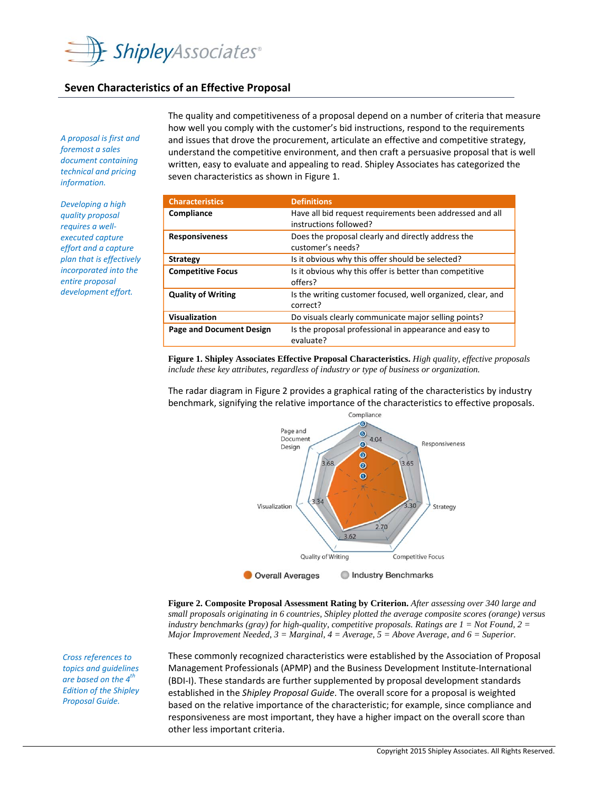

### **Seven Characteristics of an Effective Proposal**

*A proposal is first and foremost a sales document containing technical and pricing*  $information.$ 

*Developing a high quality proposal requires a well‐ executed capture effort and a capture plan that is effectively incorporated into the entire proposal development effort.*

The quality and competitiveness of a proposal depend on a number of criteria that measure how well you comply with the customer's bid instructions, respond to the requirements and issues that drove the procurement, articulate an effective and competitive strategy, understand the competitive environment, and then craft a persuasive proposal that is well written, easy to evaluate and appealing to read. Shipley Associates has categorized the seven characteristics as shown in Figure 1.

| <b>Characteristics</b>          | <b>Definitions</b>                                                                 |
|---------------------------------|------------------------------------------------------------------------------------|
| Compliance                      | Have all bid request requirements been addressed and all<br>instructions followed? |
| <b>Responsiveness</b>           | Does the proposal clearly and directly address the<br>customer's needs?            |
| <b>Strategy</b>                 | Is it obvious why this offer should be selected?                                   |
| <b>Competitive Focus</b>        | Is it obvious why this offer is better than competitive<br>offers?                 |
| <b>Quality of Writing</b>       | Is the writing customer focused, well organized, clear, and<br>correct?            |
| Visualization                   | Do visuals clearly communicate major selling points?                               |
| <b>Page and Document Design</b> | Is the proposal professional in appearance and easy to<br>evaluate?                |

**Figure 1. Shipley Associates Effective Proposal Characteristics.** *High quality, effective proposals include these key attributes, regardless of industry or type of business or organization.*

The radar diagram in Figure 2 provides a graphical rating of the characteristics by industry benchmark, signifying the relative importance of the characteristics to effective proposals.



**Figure 2. Composite Proposal Assessment Rating by Criterion.** *After assessing over 340 large and small proposals originating in 6 countries, Shipley plotted the average composite scores (orange) versus industry benchmarks (gray) for high-quality, competitive proposals. Ratings are 1 = Not Found, 2 = Major Improvement Needed, 3 = Marginal, 4 = Average, 5 = Above Average, and 6 = Superior.*

These commonly recognized characteristics were established by the Association of Proposal Management Professionals (APMP) and the Business Development Institute‐International (BDI‐I). These standards are further supplemented by proposal development standards established in the *Shipley Proposal Guide*. The overall score for a proposal is weighted based on the relative importance of the characteristic; for example, since compliance and responsiveness are most important, they have a higher impact on the overall score than other less important criteria.

*Cross references to topics and guidelines are based on the 4th Edition of the Shipley Proposal Guide.*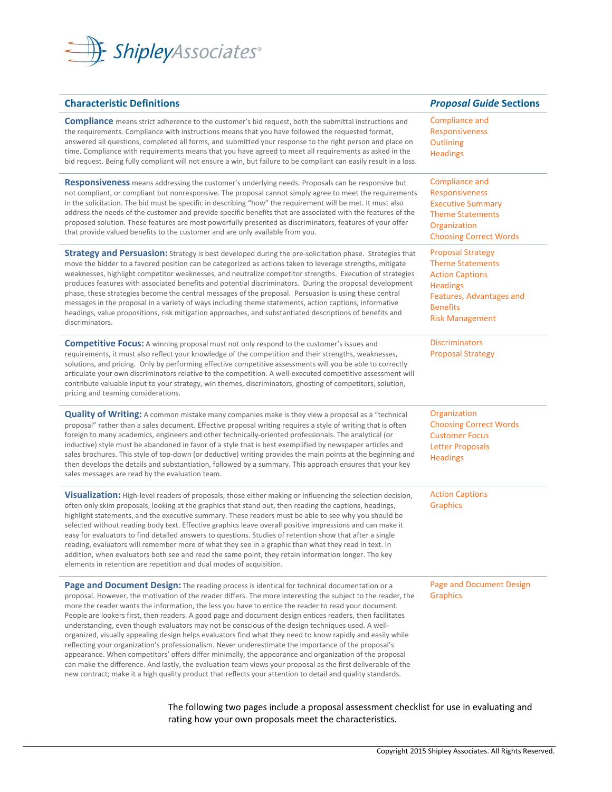

| <b>Characteristic Definitions</b>                                                                                                                                                                                                                                                                                                                                                                                                                                                                                                                                                                                                                                                                                                                                                                                                                                                                                                                                                                                                                                                                   | <b>Proposal Guide Sections</b>                                                                                                                                            |
|-----------------------------------------------------------------------------------------------------------------------------------------------------------------------------------------------------------------------------------------------------------------------------------------------------------------------------------------------------------------------------------------------------------------------------------------------------------------------------------------------------------------------------------------------------------------------------------------------------------------------------------------------------------------------------------------------------------------------------------------------------------------------------------------------------------------------------------------------------------------------------------------------------------------------------------------------------------------------------------------------------------------------------------------------------------------------------------------------------|---------------------------------------------------------------------------------------------------------------------------------------------------------------------------|
| <b>Compliance</b> means strict adherence to the customer's bid request, both the submittal instructions and<br>the requirements. Compliance with instructions means that you have followed the requested format,<br>answered all questions, completed all forms, and submitted your response to the right person and place on<br>time. Compliance with requirements means that you have agreed to meet all requirements as asked in the<br>bid request. Being fully compliant will not ensure a win, but failure to be compliant can easily result in a loss.                                                                                                                                                                                                                                                                                                                                                                                                                                                                                                                                       | Compliance and<br><b>Responsiveness</b><br>Outlining<br><b>Headings</b>                                                                                                   |
| <b>Responsiveness</b> means addressing the customer's underlying needs. Proposals can be responsive but<br>not compliant, or compliant but nonresponsive. The proposal cannot simply agree to meet the requirements<br>in the solicitation. The bid must be specific in describing "how" the requirement will be met. It must also<br>address the needs of the customer and provide specific benefits that are associated with the features of the<br>proposed solution. These features are most powerfully presented as discriminators, features of your offer<br>that provide valued benefits to the customer and are only available from you.                                                                                                                                                                                                                                                                                                                                                                                                                                                    | Compliance and<br><b>Responsiveness</b><br><b>Executive Summary</b><br><b>Theme Statements</b><br>Organization<br><b>Choosing Correct Words</b>                           |
| <b>Strategy and Persuasion:</b> Strategy is best developed during the pre-solicitation phase. Strategies that<br>move the bidder to a favored position can be categorized as actions taken to leverage strengths, mitigate<br>weaknesses, highlight competitor weaknesses, and neutralize competitor strengths. Execution of strategies<br>produces features with associated benefits and potential discriminators. During the proposal development<br>phase, these strategies become the central messages of the proposal. Persuasion is using these central<br>messages in the proposal in a variety of ways including theme statements, action captions, informative<br>headings, value propositions, risk mitigation approaches, and substantiated descriptions of benefits and<br>discriminators.                                                                                                                                                                                                                                                                                              | <b>Proposal Strategy</b><br><b>Theme Statements</b><br><b>Action Captions</b><br><b>Headings</b><br>Features, Advantages and<br><b>Benefits</b><br><b>Risk Management</b> |
| <b>Competitive Focus:</b> A winning proposal must not only respond to the customer's issues and<br>requirements, it must also reflect your knowledge of the competition and their strengths, weaknesses,<br>solutions, and pricing. Only by performing effective competitive assessments will you be able to correctly<br>articulate your own discriminators relative to the competition. A well-executed competitive assessment will<br>contribute valuable input to your strategy, win themes, discriminators, ghosting of competitors, solution,<br>pricing and teaming considerations.                                                                                                                                                                                                                                                                                                                                                                                                                                                                                                          | <b>Discriminators</b><br><b>Proposal Strategy</b>                                                                                                                         |
| <b>Quality of Writing:</b> A common mistake many companies make is they view a proposal as a "technical<br>proposal" rather than a sales document. Effective proposal writing requires a style of writing that is often<br>foreign to many academics, engineers and other technically-oriented professionals. The analytical (or<br>inductive) style must be abandoned in favor of a style that is best exemplified by newspaper articles and<br>sales brochures. This style of top-down (or deductive) writing provides the main points at the beginning and<br>then develops the details and substantiation, followed by a summary. This approach ensures that your key<br>sales messages are read by the evaluation team.                                                                                                                                                                                                                                                                                                                                                                        | Organization<br><b>Choosing Correct Words</b><br><b>Customer Focus</b><br><b>Letter Proposals</b><br><b>Headings</b>                                                      |
| Visualization: High-level readers of proposals, those either making or influencing the selection decision,<br>often only skim proposals, looking at the graphics that stand out, then reading the captions, headings,<br>highlight statements, and the executive summary. These readers must be able to see why you should be<br>selected without reading body text. Effective graphics leave overall positive impressions and can make it<br>easy for evaluators to find detailed answers to questions. Studies of retention show that after a single<br>reading, evaluators will remember more of what they see in a graphic than what they read in text. In<br>addition, when evaluators both see and read the same point, they retain information longer. The key<br>elements in retention are repetition and dual modes of acquisition.                                                                                                                                                                                                                                                        | <b>Action Captions</b><br><b>Graphics</b>                                                                                                                                 |
| Page and Document Design: The reading process is identical for technical documentation or a<br>proposal. However, the motivation of the reader differs. The more interesting the subject to the reader, the<br>more the reader wants the information, the less you have to entice the reader to read your document.<br>People are lookers first, then readers. A good page and document design entices readers, then facilitates<br>understanding, even though evaluators may not be conscious of the design techniques used. A well-<br>organized, visually appealing design helps evaluators find what they need to know rapidly and easily while<br>reflecting your organization's professionalism. Never underestimate the importance of the proposal's<br>appearance. When competitors' offers differ minimally, the appearance and organization of the proposal<br>can make the difference. And lastly, the evaluation team views your proposal as the first deliverable of the<br>new contract; make it a high quality product that reflects your attention to detail and quality standards. | Page and Document Design<br><b>Graphics</b>                                                                                                                               |

## The following two pages include a proposal assessment checklist for use in evaluating and rating how your own proposals meet the characteristics.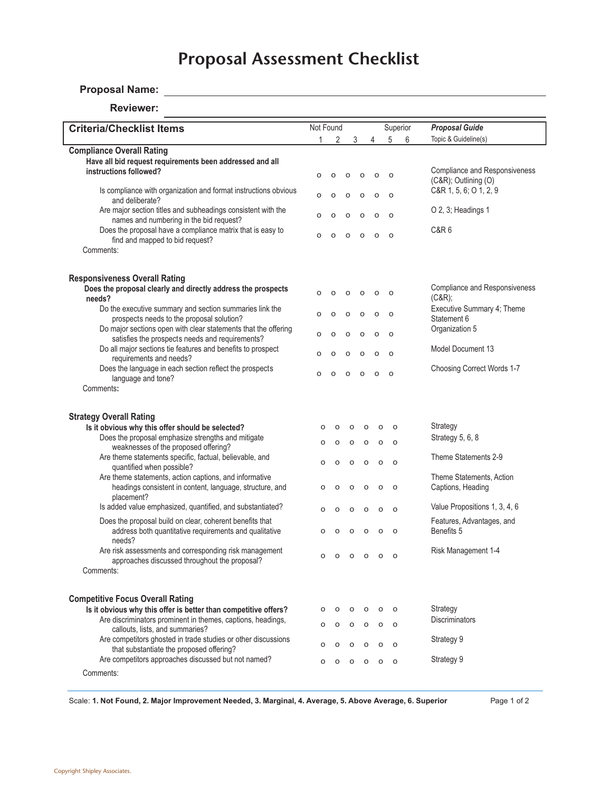# *Shipley*TM **Proposal Assessment Proposal Assessment Checklist**

# **Proposal Name:**

#### **Reviewer:**

| <b>Criteria/Checklist Items</b>                                                                                                | Not Found |                    |              |                    |                     |                    | Superior            | <b>Proposal Guide</b>                                        |
|--------------------------------------------------------------------------------------------------------------------------------|-----------|--------------------|--------------|--------------------|---------------------|--------------------|---------------------|--------------------------------------------------------------|
|                                                                                                                                | 1         | 2                  |              | 3                  |                     | 4                  | 5<br>6              | Topic & Guideline(s)                                         |
| <b>Compliance Overall Rating</b>                                                                                               |           |                    |              |                    |                     |                    |                     |                                                              |
| Have all bid request requirements been addressed and all                                                                       |           |                    |              |                    |                     |                    |                     |                                                              |
| instructions followed?                                                                                                         | $\circ$   | $\circ$            | $\circ$      |                    | O                   | $\circ$            | $\circ$             | <b>Compliance and Responsiveness</b><br>(C&R); Outlining (O) |
| Is compliance with organization and format instructions obvious<br>and deliberate?                                             | $\circ$   | $\circ$            | $\circ$      |                    | $\circ$             | $\circ$            | $\circ$             | C&R 1, 5, 6; O 1, 2, 9                                       |
| Are major section titles and subheadings consistent with the<br>names and numbering in the bid request?                        | $\circ$   | O                  | $\circ$      |                    | O<br>$\circ$        |                    | $\circ$             | O 2, 3; Headings 1                                           |
| Does the proposal have a compliance matrix that is easy to<br>find and mapped to bid request?                                  | $\circ$   | $\circ$            | $\circ$      |                    | $\mathsf{o}$        | $\circ$            | $\circ$             | <b>C&amp;R6</b>                                              |
| Comments:                                                                                                                      |           |                    |              |                    |                     |                    |                     |                                                              |
| <b>Responsiveness Overall Rating</b>                                                                                           |           |                    |              |                    |                     |                    |                     |                                                              |
| Does the proposal clearly and directly address the prospects<br>needs?                                                         | $\circ$   | $\mathsf{o}$       | $\circ$      |                    | $\mathsf{o}$        | o                  | $\circ$             | <b>Compliance and Responsiveness</b><br>(C&R);               |
| Do the executive summary and section summaries link the<br>prospects needs to the proposal solution?                           | $\circ$   | o                  | o            |                    | O                   | O                  | $\circ$             | Executive Summary 4; Theme<br>Statement 6                    |
| Do major sections open with clear statements that the offering<br>satisfies the prospects needs and requirements?              | $\Omega$  | O                  | $\circ$      |                    | $\circ$             | $\circ$            | $\circ$             | Organization 5                                               |
| Do all major sections tie features and benefits to prospect<br>requirements and needs?                                         | $\circ$   | O                  | $\circ$      |                    | $\mathsf{o}\xspace$ | $\circ$            | $\circ$             | Model Document 13                                            |
| Does the language in each section reflect the prospects<br>language and tone?                                                  | $\circ$   | $\circ$            | $\mathsf{o}$ |                    | $\mathsf{o}\xspace$ | $\circ$            | $\circ$             | Choosing Correct Words 1-7                                   |
| Comments:                                                                                                                      |           |                    |              |                    |                     |                    |                     |                                                              |
| <b>Strategy Overall Rating</b>                                                                                                 |           |                    |              |                    |                     |                    |                     |                                                              |
| Is it obvious why this offer should be selected?<br>Does the proposal emphasize strengths and mitigate                         | o<br>o    | $\circ$<br>$\circ$ |              | $\circ$<br>o       | O<br>$\circ$        | $\circ$<br>$\circ$ | $\circ$<br>$\circ$  | Strategy<br>Strategy 5, 6, 8                                 |
| weaknesses of the proposed offering?<br>Are theme statements specific, factual, believable, and                                | o         | $\circ$            |              | $\circ$            | $\mathsf{o}$        | $\circ$            | $\circ$             | Theme Statements 2-9                                         |
| quantified when possible?<br>Are theme statements, action captions, and informative                                            |           |                    |              |                    |                     |                    |                     | Theme Statements, Action                                     |
| headings consistent in content, language, structure, and<br>placement?                                                         | o         | $\circ$            |              | O                  | $\circ$             | $\circ$            | $\circ$             | Captions, Heading                                            |
| Is added value emphasized, quantified, and substantiated?<br>Does the proposal build on clear, coherent benefits that          | o         | $\circ$            |              | O                  | $\circ$             | $\circ$            | $\circ$             | Value Propositions 1, 3, 4, 6<br>Features, Advantages, and   |
| address both quantitative requirements and qualitative<br>needs?                                                               | o         | O                  |              | o                  | $\circ$             | $\circ$            | $\circ$             | Benefits 5                                                   |
| Are risk assessments and corresponding risk management<br>approaches discussed throughout the proposal?                        | o         | O                  |              | $\circ$            | $\circ$             | $\circ$            | $\circ$             | Risk Management 1-4                                          |
| Comments:                                                                                                                      |           |                    |              |                    |                     |                    |                     |                                                              |
| <b>Competitive Focus Overall Rating</b>                                                                                        |           |                    |              |                    |                     |                    |                     |                                                              |
| Is it obvious why this offer is better than competitive offers?<br>Are discriminators prominent in themes, captions, headings, | O<br>o    | $\circ$<br>$\circ$ |              | $\circ$<br>$\circ$ | $\circ$<br>$\circ$  | $\circ$<br>$\circ$ | $\Omega$<br>$\circ$ | Strategy<br><b>Discriminators</b>                            |
| callouts, lists, and summaries?<br>Are competitors ghosted in trade studies or other discussions                               | o         | $\circ$            |              | $\circ$            | $\circ$             | $\circ$            | $\Omega$            | Strategy 9                                                   |
| that substantiate the proposed offering?<br>Are competitors approaches discussed but not named?                                | o         | $\circ$            |              | $\circ$            | $\circ$             | $\circ$            | $\circ$             | Strategy 9                                                   |
| Comments:                                                                                                                      |           |                    |              |                    |                     |                    |                     |                                                              |

Scale: **1. Not Found, 2. Major Improvement Needed, 3. Marginal, 4. Average, 5. Above Average, 6. Superior** Page 1 of 2